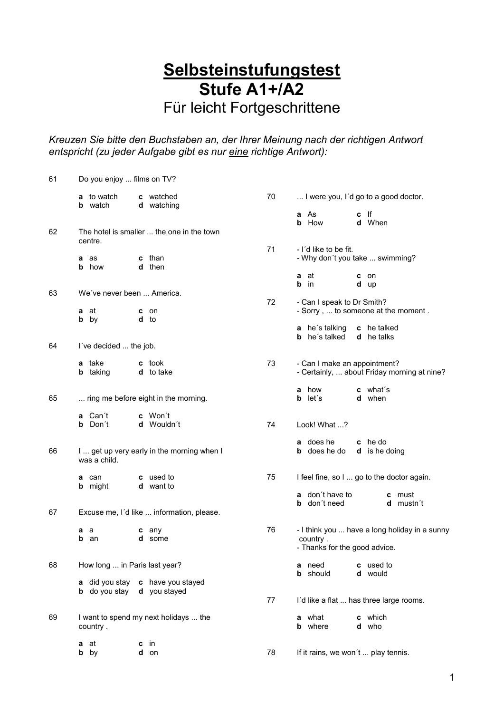## **Selbsteinstufungstest Stufe A1+/A2**

Für leicht Fortgeschrittene

*Kreuzen Sie bitte den Buchstaben an, der Ihrer Meinung nach der richtigen Antwort entspricht (zu jeder Aufgabe gibt es nur eine richtige Antwort):*

| 61 | Do you enjoy  films on TV?                                 |                                                                              |    |                                                                                            |  |  |  |
|----|------------------------------------------------------------|------------------------------------------------------------------------------|----|--------------------------------------------------------------------------------------------|--|--|--|
|    | <b>a</b> to watch<br><b>b</b> watch                        | c watched<br>d watching                                                      | 70 | I were you, I'd go to a good doctor.                                                       |  |  |  |
|    |                                                            |                                                                              |    | a As<br>c If<br><b>b</b> How<br>d When                                                     |  |  |  |
| 62 | The hotel is smaller  the one in the town<br>centre.       |                                                                              |    |                                                                                            |  |  |  |
|    | as<br>a<br><b>b</b> how                                    | <b>c</b> than<br>d then                                                      | 71 | - I'd like to be fit.<br>- Why don't you take  swimming?                                   |  |  |  |
|    |                                                            |                                                                              |    | a<br>at<br>c on<br>b<br>in<br>d up                                                         |  |  |  |
| 63 | We've never been  America.                                 |                                                                              | 72 | - Can I speak to Dr Smith?                                                                 |  |  |  |
|    | <b>a</b> at<br><b>b</b> by                                 | c on<br>d to                                                                 |    | - Sorry,  to someone at the moment.                                                        |  |  |  |
|    |                                                            |                                                                              |    | a he's talking<br>c he talked<br><b>b</b> he's talked<br><b>d</b> he talks                 |  |  |  |
| 64 | I've decided  the job.                                     |                                                                              |    |                                                                                            |  |  |  |
|    | a take<br><b>b</b> taking                                  | <b>c</b> took<br>d to take                                                   | 73 | - Can I make an appointment?<br>- Certainly,  about Friday morning at nine?                |  |  |  |
| 65 |                                                            | ring me before eight in the morning.                                         |    | a how<br><b>c</b> what's<br><b>b</b> let's<br>d when                                       |  |  |  |
|    | a Can't<br><b>b</b> Don't                                  | c Won't<br>d Wouldn't                                                        | 74 | Look! What ?                                                                               |  |  |  |
| 66 | I  get up very early in the morning when I<br>was a child. |                                                                              |    | a does he<br>c he do<br><b>b</b> does he do<br><b>d</b> is he doing                        |  |  |  |
|    | a can<br><b>b</b> might                                    | c used to<br>d want to                                                       | 75 | I feel fine, so I  go to the doctor again.                                                 |  |  |  |
|    |                                                            |                                                                              |    | a don't have to<br><b>c</b> must<br><b>b</b> don't need<br>d mustn't                       |  |  |  |
| 67 | Excuse me, I'd like  information, please.                  |                                                                              |    |                                                                                            |  |  |  |
|    | a a<br>b<br>an                                             | c any<br>d some                                                              | 76 | - I think you  have a long holiday in a sunny<br>country.<br>- Thanks for the good advice. |  |  |  |
| 68 | How long  in Paris last year?                              |                                                                              |    | a need<br>c used to<br><b>b</b> should<br>d would                                          |  |  |  |
|    |                                                            | a did you stay c have you stayed<br><b>b</b> do you stay <b>d</b> you stayed | 77 | I'd like a flat  has three large rooms.                                                    |  |  |  |
|    |                                                            |                                                                              |    |                                                                                            |  |  |  |
| 69 | I want to spend my next holidays  the<br>country.          |                                                                              |    | a what<br>c which<br><b>b</b> where<br>d who                                               |  |  |  |
|    | at<br>а<br><b>b</b> by                                     | in<br>с<br>d on                                                              | 78 | If it rains, we won't  play tennis.                                                        |  |  |  |